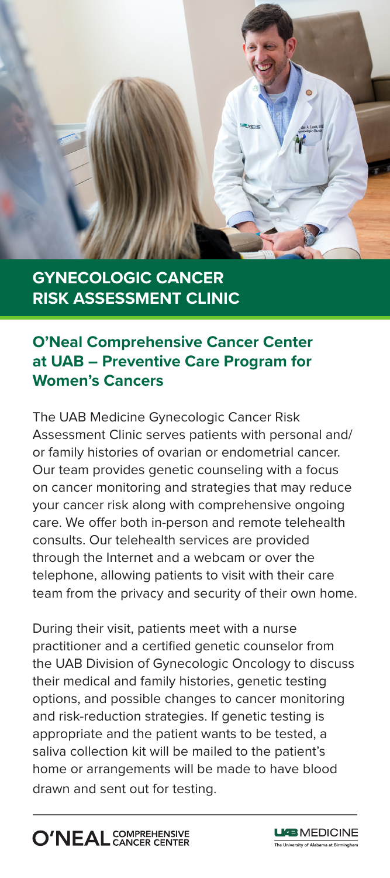

# **GYNECOLOGIC CANCER RISK ASSESSMENT CLINIC**

## **O'Neal Comprehensive Cancer Center at UAB – Preventive Care Program for Women's Cancers**

The UAB Medicine Gynecologic Cancer Risk Assessment Clinic serves patients with personal and/ or family histories of ovarian or endometrial cancer. Our team provides genetic counseling with a focus on cancer monitoring and strategies that may reduce your cancer risk along with comprehensive ongoing care. We offer both in-person and remote telehealth consults. Our telehealth services are provided through the Internet and a webcam or over the telephone, allowing patients to visit with their care team from the privacy and security of their own home.

During their visit, patients meet with a nurse practitioner and a certified genetic counselor from the UAB Division of Gynecologic Oncology to discuss their medical and family histories, genetic testing options, and possible changes to cancer monitoring and risk-reduction strategies. If genetic testing is appropriate and the patient wants to be tested, a saliva collection kit will be mailed to the patient's home or arrangements will be made to have blood drawn and sent out for testing.